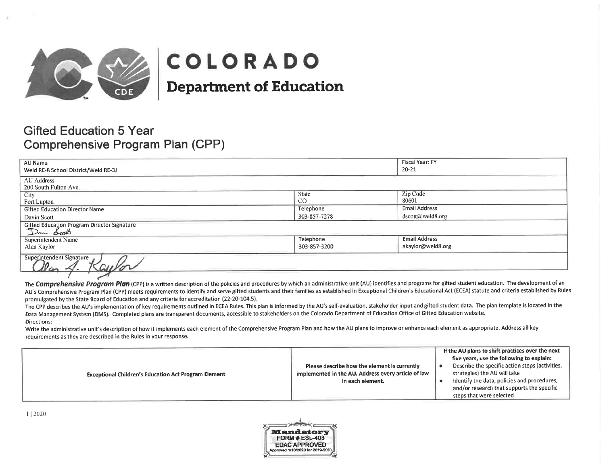

# **COLORADO**

**Department of Education** 

# **Gifted Education 5 Year** Comprehensive Program Plan (CPP)

|                                             |              | Fiscal Year: FY             |
|---------------------------------------------|--------------|-----------------------------|
| AU Name                                     |              |                             |
| Weld RE-8 School District/Weld RE-3J        |              | 20-21                       |
| AU Address                                  |              |                             |
| 200 South Fulton Ave.                       |              |                             |
| City                                        | <b>State</b> | Zip Code                    |
| Fort Lupton                                 | CO           | 80601                       |
| <b>Gifted Education Director Name</b>       | Telephone    | <b>Email Address</b>        |
| Davin Scott                                 | 303-857-7278 | $dscott(\omega)$ weld 8.org |
| Gifted Education Program Director Signature |              |                             |
| Dani Scott                                  |              |                             |
| <b>Superintendent Name</b>                  | Telephone    | <b>Email Address</b>        |
| Alan Kaylor                                 | 303-857-3200 | akaylor@weld8.org           |
| Superintendent Signature                    |              |                             |

The Comprehensive Program Plan (CPP) is a written description of the policies and procedures by which an administrative unit (AU) identifies and programs for gifted student education. The development of an AU's Comprehensive Program Plan (CPP) meets requirements to identify and serve gifted students and their families as established in Exceptional Children's Educational Act (ECEA) statute and criteria established by Rules promulgated by the State Board of Education and any criteria for accreditation (22-20-104.5).

The CPP describes the AU's implementation of key requirements outlined in ECEA Rules. This plan is informed by the AU's self-evaluation, stakeholder input and gifted student data. The plan template is located in the Data Management System (DMS). Completed plans are transparent documents, accessible to stakeholders on the Colorado Department of Education Office of Gifted Education website. Directions:

Write the administrative unit's description of how it implements each element of the Comprehensive Program Plan and how the AU plans to improve or enhance each element as appropriate. Address all key requirements as they are described in the Rules in your response.

| <b>Exceptional Children's Education Act Program Element</b> | If the AU plans to shift practices over the next<br>five years, use the following to explain:<br>Describe the specific action steps (activities,<br>Please describe how the element is currently<br>strategies) the AU will take<br>implemented in the AU. Address every article of law<br>identify the data, policies and procedures,<br>in each element.<br>and/or research that supports the specific<br>steps that were selected |
|-------------------------------------------------------------|--------------------------------------------------------------------------------------------------------------------------------------------------------------------------------------------------------------------------------------------------------------------------------------------------------------------------------------------------------------------------------------------------------------------------------------|
|-------------------------------------------------------------|--------------------------------------------------------------------------------------------------------------------------------------------------------------------------------------------------------------------------------------------------------------------------------------------------------------------------------------------------------------------------------------------------------------------------------------|

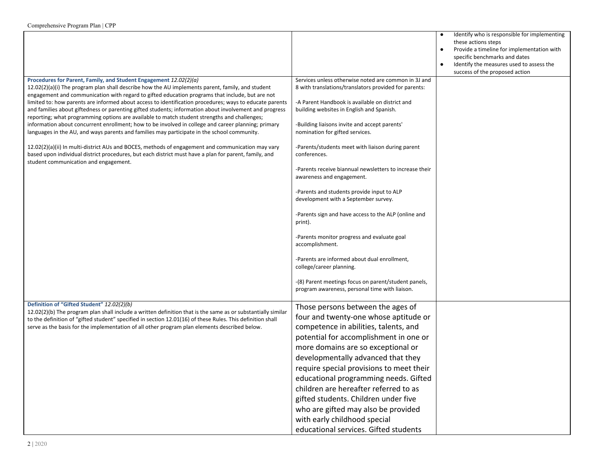|                                                                                                                                                                                                                                                                                                                   |                                                                                                               | $\bullet$ | Identify who is responsible for implementing<br>these actions steps<br>Provide a timeline for implementation with<br>specific benchmarks and dates<br>Identify the measures used to assess the |
|-------------------------------------------------------------------------------------------------------------------------------------------------------------------------------------------------------------------------------------------------------------------------------------------------------------------|---------------------------------------------------------------------------------------------------------------|-----------|------------------------------------------------------------------------------------------------------------------------------------------------------------------------------------------------|
|                                                                                                                                                                                                                                                                                                                   |                                                                                                               |           | success of the proposed action                                                                                                                                                                 |
| Procedures for Parent, Family, and Student Engagement 12.02(2)(a)<br>12.02(2)(a)(i) The program plan shall describe how the AU implements parent, family, and student<br>engagement and communication with regard to gifted education programs that include, but are not                                          | Services unless otherwise noted are common in 3J and<br>8 with translations/translators provided for parents: |           |                                                                                                                                                                                                |
| limited to: how parents are informed about access to identification procedures; ways to educate parents<br>and families about giftedness or parenting gifted students; information about involvement and progress<br>reporting; what programming options are available to match student strengths and challenges; | -A Parent Handbook is available on district and<br>building websites in English and Spanish.                  |           |                                                                                                                                                                                                |
| information about concurrent enrollment; how to be involved in college and career planning; primary<br>languages in the AU, and ways parents and families may participate in the school community.                                                                                                                | -Building liaisons invite and accept parents'<br>nomination for gifted services.                              |           |                                                                                                                                                                                                |
| 12.02(2)(a)(ii) In multi-district AUs and BOCES, methods of engagement and communication may vary<br>based upon individual district procedures, but each district must have a plan for parent, family, and<br>student communication and engagement.                                                               | -Parents/students meet with liaison during parent<br>conferences.                                             |           |                                                                                                                                                                                                |
|                                                                                                                                                                                                                                                                                                                   | -Parents receive biannual newsletters to increase their<br>awareness and engagement.                          |           |                                                                                                                                                                                                |
|                                                                                                                                                                                                                                                                                                                   | -Parents and students provide input to ALP<br>development with a September survey.                            |           |                                                                                                                                                                                                |
|                                                                                                                                                                                                                                                                                                                   | -Parents sign and have access to the ALP (online and<br>print).                                               |           |                                                                                                                                                                                                |
|                                                                                                                                                                                                                                                                                                                   | -Parents monitor progress and evaluate goal<br>accomplishment.                                                |           |                                                                                                                                                                                                |
|                                                                                                                                                                                                                                                                                                                   | -Parents are informed about dual enrollment,<br>college/career planning.                                      |           |                                                                                                                                                                                                |
|                                                                                                                                                                                                                                                                                                                   | -(8) Parent meetings focus on parent/student panels,<br>program awareness, personal time with liaison.        |           |                                                                                                                                                                                                |
| Definition of "Gifted Student" 12.02(2)(b)                                                                                                                                                                                                                                                                        | Those persons between the ages of                                                                             |           |                                                                                                                                                                                                |
| 12.02(2)(b) The program plan shall include a written definition that is the same as or substantially similar<br>to the definition of "gifted student" specified in section 12.01(16) of these Rules. This definition shall                                                                                        | four and twenty-one whose aptitude or                                                                         |           |                                                                                                                                                                                                |
| serve as the basis for the implementation of all other program plan elements described below.                                                                                                                                                                                                                     | competence in abilities, talents, and                                                                         |           |                                                                                                                                                                                                |
|                                                                                                                                                                                                                                                                                                                   | potential for accomplishment in one or                                                                        |           |                                                                                                                                                                                                |
|                                                                                                                                                                                                                                                                                                                   | more domains are so exceptional or                                                                            |           |                                                                                                                                                                                                |
|                                                                                                                                                                                                                                                                                                                   | developmentally advanced that they                                                                            |           |                                                                                                                                                                                                |
|                                                                                                                                                                                                                                                                                                                   | require special provisions to meet their                                                                      |           |                                                                                                                                                                                                |
|                                                                                                                                                                                                                                                                                                                   | educational programming needs. Gifted                                                                         |           |                                                                                                                                                                                                |
|                                                                                                                                                                                                                                                                                                                   | children are hereafter referred to as                                                                         |           |                                                                                                                                                                                                |
|                                                                                                                                                                                                                                                                                                                   | gifted students. Children under five                                                                          |           |                                                                                                                                                                                                |
|                                                                                                                                                                                                                                                                                                                   | who are gifted may also be provided                                                                           |           |                                                                                                                                                                                                |
|                                                                                                                                                                                                                                                                                                                   | with early childhood special                                                                                  |           |                                                                                                                                                                                                |
|                                                                                                                                                                                                                                                                                                                   | educational services. Gifted students                                                                         |           |                                                                                                                                                                                                |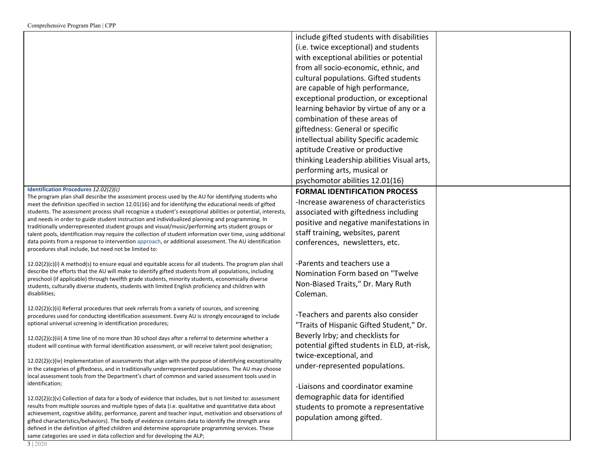|                                                                                                                                                                                                                 | include gifted students with disabilities  |
|-----------------------------------------------------------------------------------------------------------------------------------------------------------------------------------------------------------------|--------------------------------------------|
|                                                                                                                                                                                                                 | (i.e. twice exceptional) and students      |
|                                                                                                                                                                                                                 | with exceptional abilities or potential    |
|                                                                                                                                                                                                                 | from all socio-economic, ethnic, and       |
|                                                                                                                                                                                                                 | cultural populations. Gifted students      |
|                                                                                                                                                                                                                 | are capable of high performance,           |
|                                                                                                                                                                                                                 | exceptional production, or exceptional     |
|                                                                                                                                                                                                                 | learning behavior by virtue of any or a    |
|                                                                                                                                                                                                                 | combination of these areas of              |
|                                                                                                                                                                                                                 | giftedness: General or specific            |
|                                                                                                                                                                                                                 | intellectual ability Specific academic     |
|                                                                                                                                                                                                                 | aptitude Creative or productive            |
|                                                                                                                                                                                                                 | thinking Leadership abilities Visual arts, |
|                                                                                                                                                                                                                 | performing arts, musical or                |
|                                                                                                                                                                                                                 | psychomotor abilities 12.01(16)            |
| Identification Procedures 12.02(2)(c)                                                                                                                                                                           | <b>FORMAL IDENTIFICATION PROCESS</b>       |
| The program plan shall describe the assessment process used by the AU for identifying students who<br>meet the definition specified in section 12.01(16) and for identifying the educational needs of gifted    | -Increase awareness of characteristics     |
| students. The assessment process shall recognize a student's exceptional abilities or potential, interests,                                                                                                     | associated with giftedness including       |
| and needs in order to guide student instruction and individualized planning and programming. In<br>traditionally underrepresented student groups and visual/music/performing arts student groups or             | positive and negative manifestations in    |
| talent pools, identification may require the collection of student information over time, using additional                                                                                                      | staff training, websites, parent           |
| data points from a response to intervention approach, or additional assessment. The AU identification                                                                                                           | conferences, newsletters, etc.             |
| procedures shall include, but need not be limited to:                                                                                                                                                           |                                            |
| $12.02(2)(c)(i)$ A method(s) to ensure equal and equitable access for all students. The program plan shall                                                                                                      | -Parents and teachers use a                |
| describe the efforts that the AU will make to identify gifted students from all populations, including<br>preschool (if applicable) through twelfth grade students, minority students, economically diverse     | Nomination Form based on "Twelve           |
| students, culturally diverse students, students with limited English proficiency and children with                                                                                                              | Non-Biased Traits," Dr. Mary Ruth          |
| disabilities;                                                                                                                                                                                                   | Coleman.                                   |
| 12.02(2)(c)(ii) Referral procedures that seek referrals from a variety of sources, and screening                                                                                                                |                                            |
| procedures used for conducting identification assessment. Every AU is strongly encouraged to include                                                                                                            | -Teachers and parents also consider        |
| optional universal screening in identification procedures;                                                                                                                                                      | "Traits of Hispanic Gifted Student," Dr.   |
| 12.02(2)(c)(iii) A time line of no more than 30 school days after a referral to determine whether a                                                                                                             | Beverly Irby; and checklists for           |
| student will continue with formal identification assessment, or will receive talent pool designation;                                                                                                           | potential gifted students in ELD, at-risk, |
| 12.02(2)(c)(iv) Implementation of assessments that align with the purpose of identifying exceptionality                                                                                                         | twice-exceptional, and                     |
| in the categories of giftedness, and in traditionally underrepresented populations. The AU may choose                                                                                                           | under-represented populations.             |
| local assessment tools from the Department's chart of common and varied assessment tools used in                                                                                                                |                                            |
| identification;                                                                                                                                                                                                 | -Liaisons and coordinator examine          |
| 12.02(2)(c)(v) Collection of data for a body of evidence that includes, but is not limited to: assessment                                                                                                       | demographic data for identified            |
| results from multiple sources and multiple types of data (i.e. qualitative and quantitative data about<br>achievement, cognitive ability, performance, parent and teacher input, motivation and observations of | students to promote a representative       |
| gifted characteristics/behaviors). The body of evidence contains data to identify the strength area                                                                                                             | population among gifted.                   |
| defined in the definition of gifted children and determine appropriate programming services. These                                                                                                              |                                            |
| same categories are used in data collection and for developing the ALP;                                                                                                                                         |                                            |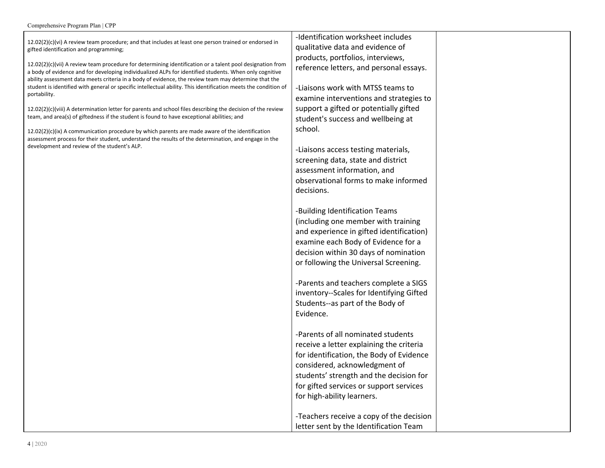#### Comprehensive Program Plan | CPP

| $12.02(2)(c)(vi)$ A review team procedure; and that includes at least one person trained or endorsed in                                                                                                                 | -Identification worksheet includes                                              |  |
|-------------------------------------------------------------------------------------------------------------------------------------------------------------------------------------------------------------------------|---------------------------------------------------------------------------------|--|
| gifted identification and programming;                                                                                                                                                                                  | qualitative data and evidence of                                                |  |
| $12.02(2)(c)(vii)$ A review team procedure for determining identification or a talent pool designation from                                                                                                             | products, portfolios, interviews,                                               |  |
| a body of evidence and for developing individualized ALPs for identified students. When only cognitive                                                                                                                  | reference letters, and personal essays.                                         |  |
| ability assessment data meets criteria in a body of evidence, the review team may determine that the<br>student is identified with general or specific intellectual ability. This identification meets the condition of | -Liaisons work with MTSS teams to                                               |  |
| portability.                                                                                                                                                                                                            | examine interventions and strategies to                                         |  |
| $12.02(2)(c)(viii)$ A determination letter for parents and school files describing the decision of the review                                                                                                           | support a gifted or potentially gifted                                          |  |
| team, and area(s) of giftedness if the student is found to have exceptional abilities; and                                                                                                                              | student's success and wellbeing at                                              |  |
| $12.02(2)(c)(ix)$ A communication procedure by which parents are made aware of the identification<br>assessment process for their student, understand the results of the determination, and engage in the               | school.                                                                         |  |
| development and review of the student's ALP.                                                                                                                                                                            | -Liaisons access testing materials,                                             |  |
|                                                                                                                                                                                                                         | screening data, state and district                                              |  |
|                                                                                                                                                                                                                         | assessment information, and                                                     |  |
|                                                                                                                                                                                                                         | observational forms to make informed                                            |  |
|                                                                                                                                                                                                                         | decisions.                                                                      |  |
|                                                                                                                                                                                                                         |                                                                                 |  |
|                                                                                                                                                                                                                         | -Building Identification Teams                                                  |  |
|                                                                                                                                                                                                                         | (including one member with training<br>and experience in gifted identification) |  |
|                                                                                                                                                                                                                         | examine each Body of Evidence for a                                             |  |
|                                                                                                                                                                                                                         | decision within 30 days of nomination                                           |  |
|                                                                                                                                                                                                                         | or following the Universal Screening.                                           |  |
|                                                                                                                                                                                                                         |                                                                                 |  |
|                                                                                                                                                                                                                         | -Parents and teachers complete a SIGS                                           |  |
|                                                                                                                                                                                                                         | inventory--Scales for Identifying Gifted                                        |  |
|                                                                                                                                                                                                                         | Students--as part of the Body of                                                |  |
|                                                                                                                                                                                                                         | Evidence.                                                                       |  |
|                                                                                                                                                                                                                         |                                                                                 |  |
|                                                                                                                                                                                                                         | -Parents of all nominated students                                              |  |
|                                                                                                                                                                                                                         | receive a letter explaining the criteria                                        |  |
|                                                                                                                                                                                                                         | for identification, the Body of Evidence                                        |  |
|                                                                                                                                                                                                                         | considered, acknowledgment of<br>students' strength and the decision for        |  |
|                                                                                                                                                                                                                         | for gifted services or support services                                         |  |
|                                                                                                                                                                                                                         | for high-ability learners.                                                      |  |
|                                                                                                                                                                                                                         |                                                                                 |  |
|                                                                                                                                                                                                                         | -Teachers receive a copy of the decision                                        |  |
|                                                                                                                                                                                                                         | letter sent by the Identification Team                                          |  |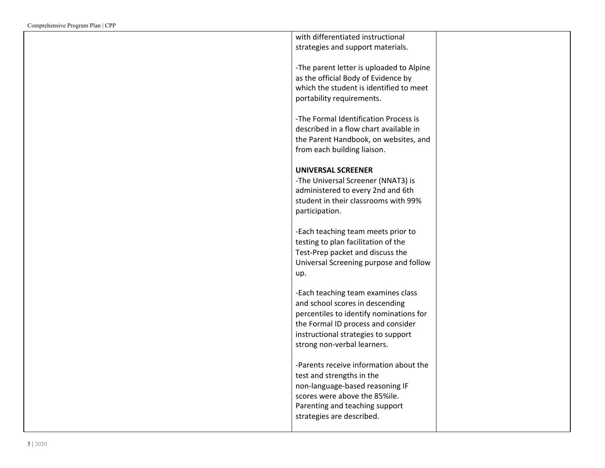| with differentiated instructional        |  |
|------------------------------------------|--|
|                                          |  |
| strategies and support materials.        |  |
|                                          |  |
| -The parent letter is uploaded to Alpine |  |
|                                          |  |
| as the official Body of Evidence by      |  |
| which the student is identified to meet  |  |
| portability requirements.                |  |
|                                          |  |
|                                          |  |
| -The Formal Identification Process is    |  |
| described in a flow chart available in   |  |
|                                          |  |
| the Parent Handbook, on websites, and    |  |
| from each building liaison.              |  |
|                                          |  |
| <b>UNIVERSAL SCREENER</b>                |  |
|                                          |  |
| -The Universal Screener (NNAT3) is       |  |
| administered to every 2nd and 6th        |  |
| student in their classrooms with 99%     |  |
|                                          |  |
| participation.                           |  |
|                                          |  |
| -Each teaching team meets prior to       |  |
|                                          |  |
| testing to plan facilitation of the      |  |
| Test-Prep packet and discuss the         |  |
| Universal Screening purpose and follow   |  |
|                                          |  |
| up.                                      |  |
|                                          |  |
| -Each teaching team examines class       |  |
| and school scores in descending          |  |
|                                          |  |
| percentiles to identify nominations for  |  |
| the Formal ID process and consider       |  |
| instructional strategies to support      |  |
|                                          |  |
| strong non-verbal learners.              |  |
|                                          |  |
| -Parents receive information about the   |  |
|                                          |  |
| test and strengths in the                |  |
| non-language-based reasoning IF          |  |
| scores were above the 85%ile.            |  |
|                                          |  |
| Parenting and teaching support           |  |
| strategies are described.                |  |
|                                          |  |
|                                          |  |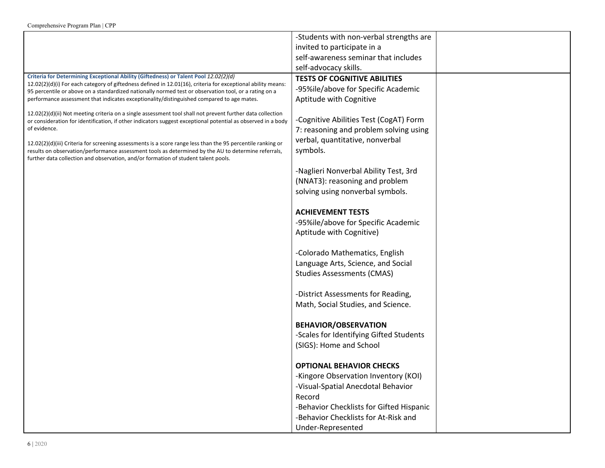|                                                                                                                                                                                                                                                                                                                                                           | -Students with non-verbal strengths are                                                                             |  |
|-----------------------------------------------------------------------------------------------------------------------------------------------------------------------------------------------------------------------------------------------------------------------------------------------------------------------------------------------------------|---------------------------------------------------------------------------------------------------------------------|--|
|                                                                                                                                                                                                                                                                                                                                                           | invited to participate in a                                                                                         |  |
|                                                                                                                                                                                                                                                                                                                                                           | self-awareness seminar that includes                                                                                |  |
|                                                                                                                                                                                                                                                                                                                                                           | self-advocacy skills.                                                                                               |  |
| Criteria for Determining Exceptional Ability (Giftedness) or Talent Pool 12.02(2)(d)                                                                                                                                                                                                                                                                      | <b>TESTS OF COGNITIVE ABILITIES</b>                                                                                 |  |
| 12.02(2)(d)(i) For each category of giftedness defined in 12.01(16), criteria for exceptional ability means:<br>95 percentile or above on a standardized nationally normed test or observation tool, or a rating on a                                                                                                                                     | -95%ile/above for Specific Academic                                                                                 |  |
| performance assessment that indicates exceptionality/distinguished compared to age mates.                                                                                                                                                                                                                                                                 | Aptitude with Cognitive                                                                                             |  |
| 12.02(2)(d)(ii) Not meeting criteria on a single assessment tool shall not prevent further data collection<br>or consideration for identification, if other indicators suggest exceptional potential as observed in a body<br>of evidence.<br>12.02(2)(d)(iii) Criteria for screening assessments is a score range less than the 95 percentile ranking or | -Cognitive Abilities Test (CogAT) Form<br>7: reasoning and problem solving using<br>verbal, quantitative, nonverbal |  |
| results on observation/performance assessment tools as determined by the AU to determine referrals,<br>further data collection and observation, and/or formation of student talent pools.                                                                                                                                                                 | symbols.                                                                                                            |  |
|                                                                                                                                                                                                                                                                                                                                                           | -Naglieri Nonverbal Ability Test, 3rd<br>(NNAT3): reasoning and problem<br>solving using nonverbal symbols.         |  |
|                                                                                                                                                                                                                                                                                                                                                           | <b>ACHIEVEMENT TESTS</b>                                                                                            |  |
|                                                                                                                                                                                                                                                                                                                                                           | -95%ile/above for Specific Academic                                                                                 |  |
|                                                                                                                                                                                                                                                                                                                                                           | Aptitude with Cognitive)                                                                                            |  |
|                                                                                                                                                                                                                                                                                                                                                           |                                                                                                                     |  |
|                                                                                                                                                                                                                                                                                                                                                           | -Colorado Mathematics, English                                                                                      |  |
|                                                                                                                                                                                                                                                                                                                                                           | Language Arts, Science, and Social                                                                                  |  |
|                                                                                                                                                                                                                                                                                                                                                           | <b>Studies Assessments (CMAS)</b>                                                                                   |  |
|                                                                                                                                                                                                                                                                                                                                                           |                                                                                                                     |  |
|                                                                                                                                                                                                                                                                                                                                                           | -District Assessments for Reading,                                                                                  |  |
|                                                                                                                                                                                                                                                                                                                                                           | Math, Social Studies, and Science.                                                                                  |  |
|                                                                                                                                                                                                                                                                                                                                                           |                                                                                                                     |  |
|                                                                                                                                                                                                                                                                                                                                                           | <b>BEHAVIOR/OBSERVATION</b>                                                                                         |  |
|                                                                                                                                                                                                                                                                                                                                                           | -Scales for Identifying Gifted Students                                                                             |  |
|                                                                                                                                                                                                                                                                                                                                                           | (SIGS): Home and School                                                                                             |  |
|                                                                                                                                                                                                                                                                                                                                                           |                                                                                                                     |  |
|                                                                                                                                                                                                                                                                                                                                                           | <b>OPTIONAL BEHAVIOR CHECKS</b>                                                                                     |  |
|                                                                                                                                                                                                                                                                                                                                                           | -Kingore Observation Inventory (KOI)                                                                                |  |
|                                                                                                                                                                                                                                                                                                                                                           | -Visual-Spatial Anecdotal Behavior                                                                                  |  |
|                                                                                                                                                                                                                                                                                                                                                           | Record                                                                                                              |  |
|                                                                                                                                                                                                                                                                                                                                                           | -Behavior Checklists for Gifted Hispanic                                                                            |  |
|                                                                                                                                                                                                                                                                                                                                                           | -Behavior Checklists for At-Risk and                                                                                |  |
|                                                                                                                                                                                                                                                                                                                                                           | Under-Represented                                                                                                   |  |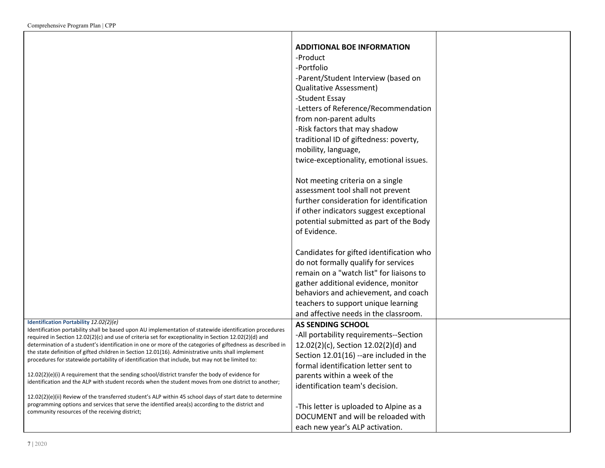|                                                                                                                                                                                                                  | <b>ADDITIONAL BOE INFORMATION</b>        |  |
|------------------------------------------------------------------------------------------------------------------------------------------------------------------------------------------------------------------|------------------------------------------|--|
|                                                                                                                                                                                                                  | -Product                                 |  |
|                                                                                                                                                                                                                  | -Portfolio                               |  |
|                                                                                                                                                                                                                  | -Parent/Student Interview (based on      |  |
|                                                                                                                                                                                                                  | <b>Qualitative Assessment)</b>           |  |
|                                                                                                                                                                                                                  | -Student Essay                           |  |
|                                                                                                                                                                                                                  | -Letters of Reference/Recommendation     |  |
|                                                                                                                                                                                                                  | from non-parent adults                   |  |
|                                                                                                                                                                                                                  | -Risk factors that may shadow            |  |
|                                                                                                                                                                                                                  | traditional ID of giftedness: poverty,   |  |
|                                                                                                                                                                                                                  | mobility, language,                      |  |
|                                                                                                                                                                                                                  | twice-exceptionality, emotional issues.  |  |
|                                                                                                                                                                                                                  |                                          |  |
|                                                                                                                                                                                                                  | Not meeting criteria on a single         |  |
|                                                                                                                                                                                                                  | assessment tool shall not prevent        |  |
|                                                                                                                                                                                                                  | further consideration for identification |  |
|                                                                                                                                                                                                                  | if other indicators suggest exceptional  |  |
|                                                                                                                                                                                                                  | potential submitted as part of the Body  |  |
|                                                                                                                                                                                                                  | of Evidence.                             |  |
|                                                                                                                                                                                                                  |                                          |  |
|                                                                                                                                                                                                                  | Candidates for gifted identification who |  |
|                                                                                                                                                                                                                  | do not formally qualify for services     |  |
|                                                                                                                                                                                                                  | remain on a "watch list" for liaisons to |  |
|                                                                                                                                                                                                                  | gather additional evidence, monitor      |  |
|                                                                                                                                                                                                                  | behaviors and achievement, and coach     |  |
|                                                                                                                                                                                                                  | teachers to support unique learning      |  |
|                                                                                                                                                                                                                  | and affective needs in the classroom.    |  |
| Identification Portability 12.02(2)(e)                                                                                                                                                                           | <b>AS SENDING SCHOOL</b>                 |  |
| Identification portability shall be based upon AU implementation of statewide identification procedures<br>required in Section 12.02(2)(c) and use of criteria set for exceptionality in Section 12.02(2)(d) and | -All portability requirements--Section   |  |
| determination of a student's identification in one or more of the categories of giftedness as described in                                                                                                       | 12.02(2)(c), Section 12.02(2)(d) and     |  |
| the state definition of gifted children in Section 12.01(16). Administrative units shall implement<br>procedures for statewide portability of identification that include, but may not be limited to:            | Section 12.01(16) --are included in the  |  |
|                                                                                                                                                                                                                  | formal identification letter sent to     |  |
| 12.02(2)(e)(i) A requirement that the sending school/district transfer the body of evidence for                                                                                                                  | parents within a week of the             |  |
| identification and the ALP with student records when the student moves from one district to another;                                                                                                             | identification team's decision.          |  |
| $12.02(2)(e)(ii)$ Review of the transferred student's ALP within 45 school days of start date to determine                                                                                                       |                                          |  |
| programming options and services that serve the identified area(s) according to the district and                                                                                                                 | -This letter is uploaded to Alpine as a  |  |
| community resources of the receiving district;                                                                                                                                                                   | DOCUMENT and will be reloaded with       |  |
|                                                                                                                                                                                                                  | each new year's ALP activation.          |  |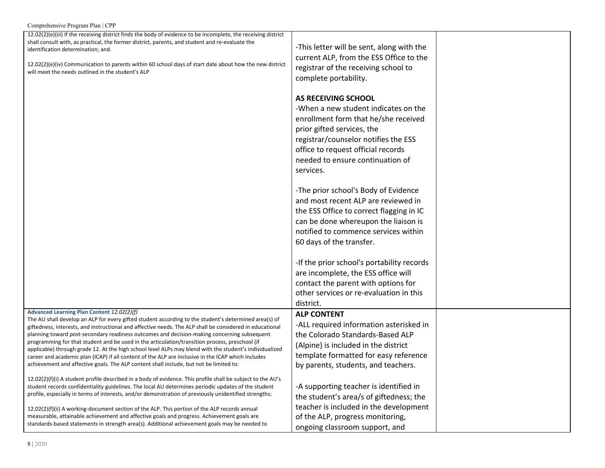| Comprehensive Program Plan   CPP                                                                                                                                                                                                                                                                                                                                                                                                                                                                                                                                                                                                                                                                                                                                            |                                                                                                                                                                                                                                                                  |  |
|-----------------------------------------------------------------------------------------------------------------------------------------------------------------------------------------------------------------------------------------------------------------------------------------------------------------------------------------------------------------------------------------------------------------------------------------------------------------------------------------------------------------------------------------------------------------------------------------------------------------------------------------------------------------------------------------------------------------------------------------------------------------------------|------------------------------------------------------------------------------------------------------------------------------------------------------------------------------------------------------------------------------------------------------------------|--|
| 12.02(2)(e)(iii) If the receiving district finds the body of evidence to be incomplete, the receiving district<br>shall consult with, as practical, the former district, parents, and student and re-evaluate the<br>identification determination; and.<br>$12.02(2)(e)(iv)$ Communication to parents within 60 school days of start date about how the new district<br>will meet the needs outlined in the student's ALP                                                                                                                                                                                                                                                                                                                                                   | -This letter will be sent, along with the<br>current ALP, from the ESS Office to the<br>registrar of the receiving school to<br>complete portability.                                                                                                            |  |
|                                                                                                                                                                                                                                                                                                                                                                                                                                                                                                                                                                                                                                                                                                                                                                             | AS RECEIVING SCHOOL<br>-When a new student indicates on the<br>enrollment form that he/she received<br>prior gifted services, the<br>registrar/counselor notifies the ESS<br>office to request official records<br>needed to ensure continuation of<br>services. |  |
|                                                                                                                                                                                                                                                                                                                                                                                                                                                                                                                                                                                                                                                                                                                                                                             | -The prior school's Body of Evidence<br>and most recent ALP are reviewed in<br>the ESS Office to correct flagging in IC<br>can be done whereupon the liaison is<br>notified to commence services within<br>60 days of the transfer.                              |  |
|                                                                                                                                                                                                                                                                                                                                                                                                                                                                                                                                                                                                                                                                                                                                                                             | -If the prior school's portability records<br>are incomplete, the ESS office will<br>contact the parent with options for<br>other services or re-evaluation in this<br>district.                                                                                 |  |
| Advanced Learning Plan Content 12.02(2)(f)<br>The AU shall develop an ALP for every gifted student according to the student's determined area(s) of<br>giftedness, interests, and instructional and affective needs. The ALP shall be considered in educational<br>planning toward post-secondary readiness outcomes and decision-making concerning subsequent<br>programming for that student and be used in the articulation/transition process, preschool (if<br>applicable) through grade 12. At the high school level ALPs may blend with the student's individualized<br>career and academic plan (ICAP) if all content of the ALP are inclusive in the ICAP which includes<br>achievement and affective goals. The ALP content shall include, but not be limited to: | <b>ALP CONTENT</b><br>-ALL required information asterisked in<br>the Colorado Standards-Based ALP<br>(Alpine) is included in the district<br>template formatted for easy reference<br>by parents, students, and teachers.                                        |  |
| 12.02(2)(f)(i) A student profile described in a body of evidence. This profile shall be subject to the AU's<br>student records confidentiality guidelines. The local AU determines periodic updates of the student<br>profile, especially in terms of interests, and/or demonstration of previously unidentified strengths;                                                                                                                                                                                                                                                                                                                                                                                                                                                 | -A supporting teacher is identified in<br>the student's area/s of giftedness; the<br>teacher is included in the development                                                                                                                                      |  |
| 12.02(2)(f)(ii) A working-document section of the ALP. This portion of the ALP records annual<br>measurable, attainable achievement and affective goals and progress. Achievement goals are<br>standards-based statements in strength area(s). Additional achievement goals may be needed to                                                                                                                                                                                                                                                                                                                                                                                                                                                                                | of the ALP, progress monitoring,<br>ongoing classroom support, and                                                                                                                                                                                               |  |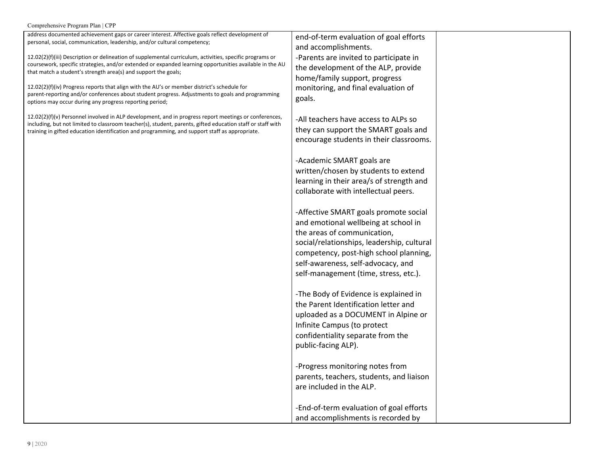| Comprehensive Program Plan   CPP |  |  |  |
|----------------------------------|--|--|--|
|----------------------------------|--|--|--|

| address documented achievement gaps or career interest. Affective goals reflect development of             | end-of-term evaluation of goal efforts     |
|------------------------------------------------------------------------------------------------------------|--------------------------------------------|
| personal, social, communication, leadership, and/or cultural competency;                                   | and accomplishments.                       |
|                                                                                                            |                                            |
| 12.02(2)(f)(iii) Description or delineation of supplemental curriculum, activities, specific programs or   | -Parents are invited to participate in     |
| coursework, specific strategies, and/or extended or expanded learning opportunities available in the AU    | the development of the ALP, provide        |
| that match a student's strength area(s) and support the goals;                                             |                                            |
|                                                                                                            | home/family support, progress              |
| 12.02(2)(f)(iv) Progress reports that align with the AU's or member district's schedule for                | monitoring, and final evaluation of        |
| parent-reporting and/or conferences about student progress. Adjustments to goals and programming           | goals.                                     |
| options may occur during any progress reporting period;                                                    |                                            |
|                                                                                                            |                                            |
| $12.02(2)(f)(v)$ Personnel involved in ALP development, and in progress report meetings or conferences,    | -All teachers have access to ALPs so       |
| including, but not limited to classroom teacher(s), student, parents, gifted education staff or staff with | they can support the SMART goals and       |
| training in gifted education identification and programming, and support staff as appropriate.             |                                            |
|                                                                                                            | encourage students in their classrooms.    |
|                                                                                                            |                                            |
|                                                                                                            | -Academic SMART goals are                  |
|                                                                                                            |                                            |
|                                                                                                            | written/chosen by students to extend       |
|                                                                                                            | learning in their area/s of strength and   |
|                                                                                                            | collaborate with intellectual peers.       |
|                                                                                                            |                                            |
|                                                                                                            |                                            |
|                                                                                                            | -Affective SMART goals promote social      |
|                                                                                                            |                                            |
|                                                                                                            | and emotional wellbeing at school in       |
|                                                                                                            | the areas of communication,                |
|                                                                                                            | social/relationships, leadership, cultural |
|                                                                                                            |                                            |
|                                                                                                            | competency, post-high school planning,     |
|                                                                                                            | self-awareness, self-advocacy, and         |
|                                                                                                            | self-management (time, stress, etc.).      |
|                                                                                                            |                                            |
|                                                                                                            |                                            |
|                                                                                                            | -The Body of Evidence is explained in      |
|                                                                                                            | the Parent Identification letter and       |
|                                                                                                            |                                            |
|                                                                                                            | uploaded as a DOCUMENT in Alpine or        |
|                                                                                                            | Infinite Campus (to protect                |
|                                                                                                            | confidentiality separate from the          |
|                                                                                                            |                                            |
|                                                                                                            | public-facing ALP).                        |
|                                                                                                            |                                            |
|                                                                                                            | -Progress monitoring notes from            |
|                                                                                                            |                                            |
|                                                                                                            |                                            |
|                                                                                                            | are included in the ALP.                   |
|                                                                                                            |                                            |
|                                                                                                            |                                            |
|                                                                                                            | -End-of-term evaluation of goal efforts    |
|                                                                                                            | and accomplishments is recorded by         |
|                                                                                                            | parents, teachers, students, and liaison   |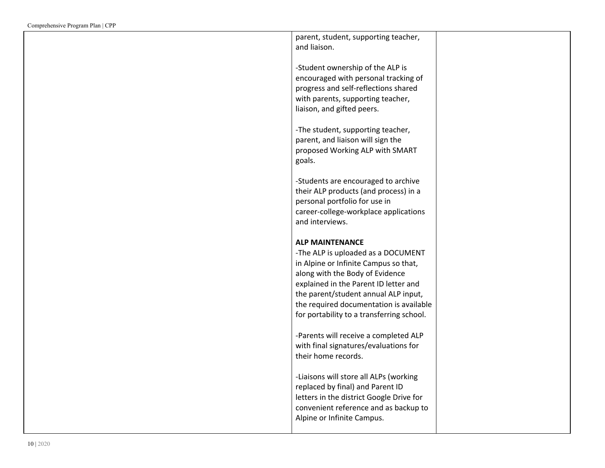| parent, student, supporting teacher,                                                                                                                                                                                      |  |
|---------------------------------------------------------------------------------------------------------------------------------------------------------------------------------------------------------------------------|--|
| and liaison.                                                                                                                                                                                                              |  |
| -Student ownership of the ALP is<br>encouraged with personal tracking of<br>progress and self-reflections shared<br>with parents, supporting teacher,<br>liaison, and gifted peers.                                       |  |
| -The student, supporting teacher,<br>parent, and liaison will sign the<br>proposed Working ALP with SMART<br>goals.                                                                                                       |  |
| -Students are encouraged to archive<br>their ALP products (and process) in a<br>personal portfolio for use in<br>career-college-workplace applications<br>and interviews.                                                 |  |
| <b>ALP MAINTENANCE</b><br>-The ALP is uploaded as a DOCUMENT<br>in Alpine or Infinite Campus so that,<br>along with the Body of Evidence<br>explained in the Parent ID letter and<br>the parent/student annual ALP input, |  |
| the required documentation is available<br>for portability to a transferring school.                                                                                                                                      |  |
| -Parents will receive a completed ALP<br>with final signatures/evaluations for<br>their home records.                                                                                                                     |  |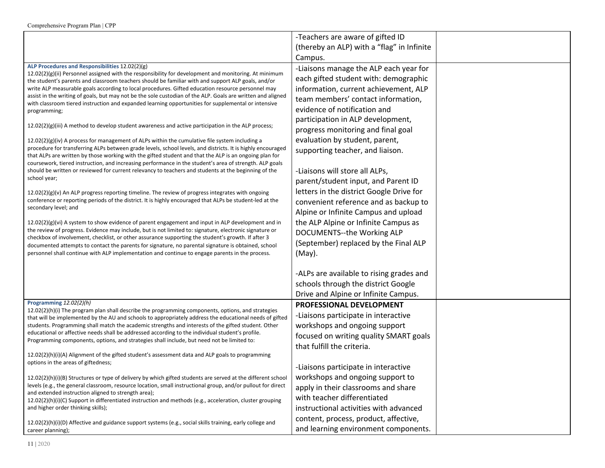| -Teachers are aware of gifted ID<br>(thereby an ALP) with a "flag" in Infinite<br>Campus.<br>ALP Procedures and Responsibilities 12.02(2)(g)<br>-Liaisons manage the ALP each year for<br>12.02(2)(g)(ii) Personnel assigned with the responsibility for development and monitoring. At minimum<br>each gifted student with: demographic<br>the student's parents and classroom teachers should be familiar with and support ALP goals, and/or<br>information, current achievement, ALP<br>write ALP measurable goals according to local procedures. Gifted education resource personnel may<br>assist in the writing of goals, but may not be the sole custodian of the ALP. Goals are written and aligned<br>team members' contact information,<br>with classroom tiered instruction and expanded learning opportunities for supplemental or intensive<br>evidence of notification and<br>programming;<br>participation in ALP development,<br>$12.02(2)(g)(iii)$ A method to develop student awareness and active participation in the ALP process;<br>progress monitoring and final goal<br>evaluation by student, parent,<br>$12.02(2)(g)(iv)$ A process for management of ALPs within the cumulative file system including a<br>procedure for transferring ALPs between grade levels, school levels, and districts. It is highly encouraged<br>supporting teacher, and liaison.<br>that ALPs are written by those working with the gifted student and that the ALP is an ongoing plan for<br>coursework, tiered instruction, and increasing performance in the student's area of strength. ALP goals<br>-Liaisons will store all ALPs,<br>should be written or reviewed for current relevancy to teachers and students at the beginning of the<br>school year;<br>parent/student input, and Parent ID |
|-------------------------------------------------------------------------------------------------------------------------------------------------------------------------------------------------------------------------------------------------------------------------------------------------------------------------------------------------------------------------------------------------------------------------------------------------------------------------------------------------------------------------------------------------------------------------------------------------------------------------------------------------------------------------------------------------------------------------------------------------------------------------------------------------------------------------------------------------------------------------------------------------------------------------------------------------------------------------------------------------------------------------------------------------------------------------------------------------------------------------------------------------------------------------------------------------------------------------------------------------------------------------------------------------------------------------------------------------------------------------------------------------------------------------------------------------------------------------------------------------------------------------------------------------------------------------------------------------------------------------------------------------------------------------------------------------------------------------------------------------------------------------------------------------------------|
|                                                                                                                                                                                                                                                                                                                                                                                                                                                                                                                                                                                                                                                                                                                                                                                                                                                                                                                                                                                                                                                                                                                                                                                                                                                                                                                                                                                                                                                                                                                                                                                                                                                                                                                                                                                                             |
|                                                                                                                                                                                                                                                                                                                                                                                                                                                                                                                                                                                                                                                                                                                                                                                                                                                                                                                                                                                                                                                                                                                                                                                                                                                                                                                                                                                                                                                                                                                                                                                                                                                                                                                                                                                                             |
|                                                                                                                                                                                                                                                                                                                                                                                                                                                                                                                                                                                                                                                                                                                                                                                                                                                                                                                                                                                                                                                                                                                                                                                                                                                                                                                                                                                                                                                                                                                                                                                                                                                                                                                                                                                                             |
|                                                                                                                                                                                                                                                                                                                                                                                                                                                                                                                                                                                                                                                                                                                                                                                                                                                                                                                                                                                                                                                                                                                                                                                                                                                                                                                                                                                                                                                                                                                                                                                                                                                                                                                                                                                                             |
|                                                                                                                                                                                                                                                                                                                                                                                                                                                                                                                                                                                                                                                                                                                                                                                                                                                                                                                                                                                                                                                                                                                                                                                                                                                                                                                                                                                                                                                                                                                                                                                                                                                                                                                                                                                                             |
|                                                                                                                                                                                                                                                                                                                                                                                                                                                                                                                                                                                                                                                                                                                                                                                                                                                                                                                                                                                                                                                                                                                                                                                                                                                                                                                                                                                                                                                                                                                                                                                                                                                                                                                                                                                                             |
|                                                                                                                                                                                                                                                                                                                                                                                                                                                                                                                                                                                                                                                                                                                                                                                                                                                                                                                                                                                                                                                                                                                                                                                                                                                                                                                                                                                                                                                                                                                                                                                                                                                                                                                                                                                                             |
|                                                                                                                                                                                                                                                                                                                                                                                                                                                                                                                                                                                                                                                                                                                                                                                                                                                                                                                                                                                                                                                                                                                                                                                                                                                                                                                                                                                                                                                                                                                                                                                                                                                                                                                                                                                                             |
|                                                                                                                                                                                                                                                                                                                                                                                                                                                                                                                                                                                                                                                                                                                                                                                                                                                                                                                                                                                                                                                                                                                                                                                                                                                                                                                                                                                                                                                                                                                                                                                                                                                                                                                                                                                                             |
|                                                                                                                                                                                                                                                                                                                                                                                                                                                                                                                                                                                                                                                                                                                                                                                                                                                                                                                                                                                                                                                                                                                                                                                                                                                                                                                                                                                                                                                                                                                                                                                                                                                                                                                                                                                                             |
|                                                                                                                                                                                                                                                                                                                                                                                                                                                                                                                                                                                                                                                                                                                                                                                                                                                                                                                                                                                                                                                                                                                                                                                                                                                                                                                                                                                                                                                                                                                                                                                                                                                                                                                                                                                                             |
|                                                                                                                                                                                                                                                                                                                                                                                                                                                                                                                                                                                                                                                                                                                                                                                                                                                                                                                                                                                                                                                                                                                                                                                                                                                                                                                                                                                                                                                                                                                                                                                                                                                                                                                                                                                                             |
|                                                                                                                                                                                                                                                                                                                                                                                                                                                                                                                                                                                                                                                                                                                                                                                                                                                                                                                                                                                                                                                                                                                                                                                                                                                                                                                                                                                                                                                                                                                                                                                                                                                                                                                                                                                                             |
|                                                                                                                                                                                                                                                                                                                                                                                                                                                                                                                                                                                                                                                                                                                                                                                                                                                                                                                                                                                                                                                                                                                                                                                                                                                                                                                                                                                                                                                                                                                                                                                                                                                                                                                                                                                                             |
|                                                                                                                                                                                                                                                                                                                                                                                                                                                                                                                                                                                                                                                                                                                                                                                                                                                                                                                                                                                                                                                                                                                                                                                                                                                                                                                                                                                                                                                                                                                                                                                                                                                                                                                                                                                                             |
|                                                                                                                                                                                                                                                                                                                                                                                                                                                                                                                                                                                                                                                                                                                                                                                                                                                                                                                                                                                                                                                                                                                                                                                                                                                                                                                                                                                                                                                                                                                                                                                                                                                                                                                                                                                                             |
| letters in the district Google Drive for<br>$12.02(2)(g)(v)$ An ALP progress reporting timeline. The review of progress integrates with ongoing<br>conference or reporting periods of the district. It is highly encouraged that ALPs be student-led at the                                                                                                                                                                                                                                                                                                                                                                                                                                                                                                                                                                                                                                                                                                                                                                                                                                                                                                                                                                                                                                                                                                                                                                                                                                                                                                                                                                                                                                                                                                                                                 |
| convenient reference and as backup to<br>secondary level; and                                                                                                                                                                                                                                                                                                                                                                                                                                                                                                                                                                                                                                                                                                                                                                                                                                                                                                                                                                                                                                                                                                                                                                                                                                                                                                                                                                                                                                                                                                                                                                                                                                                                                                                                               |
| Alpine or Infinite Campus and upload                                                                                                                                                                                                                                                                                                                                                                                                                                                                                                                                                                                                                                                                                                                                                                                                                                                                                                                                                                                                                                                                                                                                                                                                                                                                                                                                                                                                                                                                                                                                                                                                                                                                                                                                                                        |
| the ALP Alpine or Infinite Campus as<br>$12.02(2)(g)(vi)$ A system to show evidence of parent engagement and input in ALP development and in<br>the review of progress. Evidence may include, but is not limited to: signature, electronic signature or                                                                                                                                                                                                                                                                                                                                                                                                                                                                                                                                                                                                                                                                                                                                                                                                                                                                                                                                                                                                                                                                                                                                                                                                                                                                                                                                                                                                                                                                                                                                                     |
| DOCUMENTS--the Working ALP<br>checkbox of involvement, checklist, or other assurance supporting the student's growth. If after 3                                                                                                                                                                                                                                                                                                                                                                                                                                                                                                                                                                                                                                                                                                                                                                                                                                                                                                                                                                                                                                                                                                                                                                                                                                                                                                                                                                                                                                                                                                                                                                                                                                                                            |
| (September) replaced by the Final ALP<br>documented attempts to contact the parents for signature, no parental signature is obtained, school                                                                                                                                                                                                                                                                                                                                                                                                                                                                                                                                                                                                                                                                                                                                                                                                                                                                                                                                                                                                                                                                                                                                                                                                                                                                                                                                                                                                                                                                                                                                                                                                                                                                |
| personnel shall continue with ALP implementation and continue to engage parents in the process.<br>$(May)$ .                                                                                                                                                                                                                                                                                                                                                                                                                                                                                                                                                                                                                                                                                                                                                                                                                                                                                                                                                                                                                                                                                                                                                                                                                                                                                                                                                                                                                                                                                                                                                                                                                                                                                                |
|                                                                                                                                                                                                                                                                                                                                                                                                                                                                                                                                                                                                                                                                                                                                                                                                                                                                                                                                                                                                                                                                                                                                                                                                                                                                                                                                                                                                                                                                                                                                                                                                                                                                                                                                                                                                             |
| -ALPs are available to rising grades and                                                                                                                                                                                                                                                                                                                                                                                                                                                                                                                                                                                                                                                                                                                                                                                                                                                                                                                                                                                                                                                                                                                                                                                                                                                                                                                                                                                                                                                                                                                                                                                                                                                                                                                                                                    |
| schools through the district Google                                                                                                                                                                                                                                                                                                                                                                                                                                                                                                                                                                                                                                                                                                                                                                                                                                                                                                                                                                                                                                                                                                                                                                                                                                                                                                                                                                                                                                                                                                                                                                                                                                                                                                                                                                         |
| Drive and Alpine or Infinite Campus.                                                                                                                                                                                                                                                                                                                                                                                                                                                                                                                                                                                                                                                                                                                                                                                                                                                                                                                                                                                                                                                                                                                                                                                                                                                                                                                                                                                                                                                                                                                                                                                                                                                                                                                                                                        |
| Programming 12.02(2)(h)<br>PROFESSIONAL DEVELOPMENT<br>$12.02(2)(h)(i)$ The program plan shall describe the programming components, options, and strategies                                                                                                                                                                                                                                                                                                                                                                                                                                                                                                                                                                                                                                                                                                                                                                                                                                                                                                                                                                                                                                                                                                                                                                                                                                                                                                                                                                                                                                                                                                                                                                                                                                                 |
| -Liaisons participate in interactive<br>that will be implemented by the AU and schools to appropriately address the educational needs of gifted                                                                                                                                                                                                                                                                                                                                                                                                                                                                                                                                                                                                                                                                                                                                                                                                                                                                                                                                                                                                                                                                                                                                                                                                                                                                                                                                                                                                                                                                                                                                                                                                                                                             |
| workshops and ongoing support<br>students. Programming shall match the academic strengths and interests of the gifted student. Other                                                                                                                                                                                                                                                                                                                                                                                                                                                                                                                                                                                                                                                                                                                                                                                                                                                                                                                                                                                                                                                                                                                                                                                                                                                                                                                                                                                                                                                                                                                                                                                                                                                                        |
| educational or affective needs shall be addressed according to the individual student's profile.<br>focused on writing quality SMART goals<br>Programming components, options, and strategies shall include, but need not be limited to:                                                                                                                                                                                                                                                                                                                                                                                                                                                                                                                                                                                                                                                                                                                                                                                                                                                                                                                                                                                                                                                                                                                                                                                                                                                                                                                                                                                                                                                                                                                                                                    |
| that fulfill the criteria.                                                                                                                                                                                                                                                                                                                                                                                                                                                                                                                                                                                                                                                                                                                                                                                                                                                                                                                                                                                                                                                                                                                                                                                                                                                                                                                                                                                                                                                                                                                                                                                                                                                                                                                                                                                  |
| $12.02(2)(h)(i)(A)$ Alignment of the gifted student's assessment data and ALP goals to programming                                                                                                                                                                                                                                                                                                                                                                                                                                                                                                                                                                                                                                                                                                                                                                                                                                                                                                                                                                                                                                                                                                                                                                                                                                                                                                                                                                                                                                                                                                                                                                                                                                                                                                          |
| options in the areas of giftedness;<br>-Liaisons participate in interactive                                                                                                                                                                                                                                                                                                                                                                                                                                                                                                                                                                                                                                                                                                                                                                                                                                                                                                                                                                                                                                                                                                                                                                                                                                                                                                                                                                                                                                                                                                                                                                                                                                                                                                                                 |
| workshops and ongoing support to<br>12.02(2)(h)(i)(B) Structures or type of delivery by which gifted students are served at the different school                                                                                                                                                                                                                                                                                                                                                                                                                                                                                                                                                                                                                                                                                                                                                                                                                                                                                                                                                                                                                                                                                                                                                                                                                                                                                                                                                                                                                                                                                                                                                                                                                                                            |
| levels (e.g., the general classroom, resource location, small instructional group, and/or pullout for direct<br>apply in their classrooms and share                                                                                                                                                                                                                                                                                                                                                                                                                                                                                                                                                                                                                                                                                                                                                                                                                                                                                                                                                                                                                                                                                                                                                                                                                                                                                                                                                                                                                                                                                                                                                                                                                                                         |
| and extended instruction aligned to strength area);<br>with teacher differentiated<br>12.02(2)(h)(i)(C) Support in differentiated instruction and methods (e.g., acceleration, cluster grouping                                                                                                                                                                                                                                                                                                                                                                                                                                                                                                                                                                                                                                                                                                                                                                                                                                                                                                                                                                                                                                                                                                                                                                                                                                                                                                                                                                                                                                                                                                                                                                                                             |
| instructional activities with advanced<br>and higher order thinking skills);                                                                                                                                                                                                                                                                                                                                                                                                                                                                                                                                                                                                                                                                                                                                                                                                                                                                                                                                                                                                                                                                                                                                                                                                                                                                                                                                                                                                                                                                                                                                                                                                                                                                                                                                |
| content, process, product, affective,                                                                                                                                                                                                                                                                                                                                                                                                                                                                                                                                                                                                                                                                                                                                                                                                                                                                                                                                                                                                                                                                                                                                                                                                                                                                                                                                                                                                                                                                                                                                                                                                                                                                                                                                                                       |
| 12.02(2)(h)(i)(D) Affective and guidance support systems (e.g., social skills training, early college and<br>and learning environment components.<br>career planning);                                                                                                                                                                                                                                                                                                                                                                                                                                                                                                                                                                                                                                                                                                                                                                                                                                                                                                                                                                                                                                                                                                                                                                                                                                                                                                                                                                                                                                                                                                                                                                                                                                      |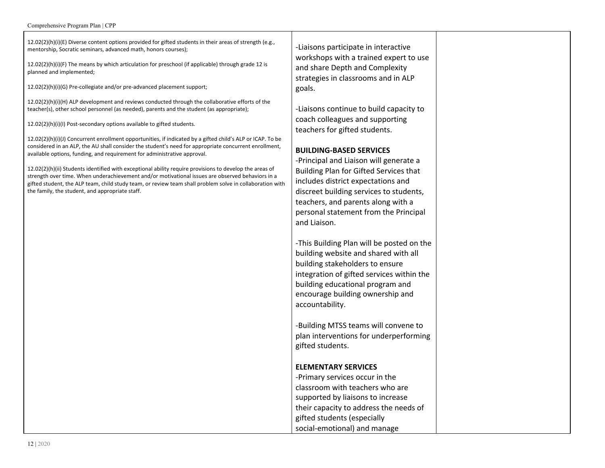#### Comprehensive Program Plan | CPP

 $12.02(2)(h)(i)(E)$  Diverse content options provided for gifted students in their areas of strength (e.g., mentorship, Socratic seminars, advanced math, honors courses);

 $12.02(2)(h)(i)(F)$  The means by which articulation for preschool (if applicable) through grade 12 is planned and implemented;

12.02(2)(h)(i)(G) Pre-collegiate and/or pre-advanced placement support;

 $12.02(2)(h)(i)(H)$  ALP development and reviews conducted through the collaborative efforts of the teacher(s), other school personnel (as needed), parents and the student (as appropriate);

 $12.02(2)(h)(i)(l)$  Post-secondary options available to gifted students.

 $12.02(2)(h)(i)(j)$  Concurrent enrollment opportunities, if indicated by a gifted child's ALP or ICAP. To be considered in an ALP, the AU shall consider the student's need for appropriate concurrent enrollment, available options, funding, and requirement for administrative approval.

 $12.02(2)(h)(ii)$  Students identified with exceptional ability require provisions to develop the areas of strength over time. When underachievement and/or motivational issues are observed behaviors in a gifted student, the ALP team, child study team, or review team shall problem solve in collaboration with the family, the student, and appropriate staff.

-Liaisons participate in interactive workshops with a trained expert to use and share Depth and Complexity strategies in classrooms and in ALP goals.

-Liaisons continue to build capacity to coach colleagues and supporting teachers for gifted students.

#### **BUILDING-BASED SERVICES**

-Principal and Liaison will generate a Building Plan for Gifted Services that includes district expectations and discreet building services to students, teachers, and parents along with a personal statement from the Principal and Liaison.

-This Building Plan will be posted on the building website and shared with all building stakeholders to ensure integration of gifted services within the building educational program and encourage building ownership and accountability.

-Building MTSS teams will convene to plan interventions for underperforming gifted students.

### **ELEMENTARY SERVICES**

-Primary services occur in the classroom with teachers who are supported by liaisons to increase their capacity to address the needs of gifted students (especially social-emotional) and manage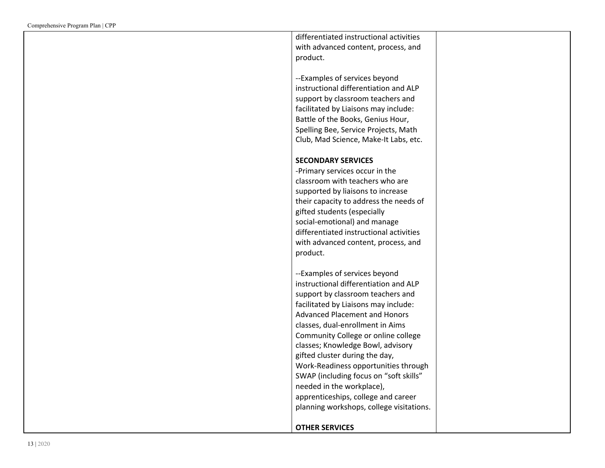differentiated instructional activities with advanced content, process, and product.

--Examples of services beyond instructional differentiation and ALP support by classroom teachers and facilitated by Liaisons may include: Battle of the Books, Genius Hour, Spelling Bee, Service Projects, Math Club, Mad Science, Make-It Labs, etc.

# **S E C O N D A R Y S E R V I C E S**

-Primary services occur in the classroom with teachers who are supported by liaisons to increase their capacity to address the needs of gifted students (especially social-emotional) and manage differentiated instructional activities with advanced content, process, and product.

--Examples of services beyond instructional differentiation and ALP support by classroom teachers and facilitated by Liaisons may include: Advanced Placement and Honors classes, dual-enrollment in Aims Community College or online college classes; Knowledge Bowl, advisory gifted cluster during the day, Work-Readiness opportunities through SWAP (including focus on "soft skills" needed in the workplace), apprenticeships, college and career planning workshops, college visitations.

# **OTHER SERVICES**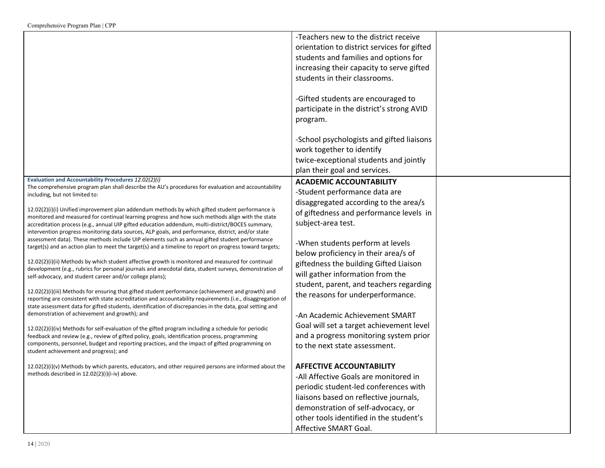|                                                                                                                                                                                                       | -Teachers new to the district receive       |  |
|-------------------------------------------------------------------------------------------------------------------------------------------------------------------------------------------------------|---------------------------------------------|--|
|                                                                                                                                                                                                       | orientation to district services for gifted |  |
|                                                                                                                                                                                                       | students and families and options for       |  |
|                                                                                                                                                                                                       | increasing their capacity to serve gifted   |  |
|                                                                                                                                                                                                       | students in their classrooms.               |  |
|                                                                                                                                                                                                       |                                             |  |
|                                                                                                                                                                                                       | -Gifted students are encouraged to          |  |
|                                                                                                                                                                                                       | participate in the district's strong AVID   |  |
|                                                                                                                                                                                                       | program.                                    |  |
|                                                                                                                                                                                                       |                                             |  |
|                                                                                                                                                                                                       | -School psychologists and gifted liaisons   |  |
|                                                                                                                                                                                                       | work together to identify                   |  |
|                                                                                                                                                                                                       | twice-exceptional students and jointly      |  |
|                                                                                                                                                                                                       | plan their goal and services.               |  |
| Evaluation and Accountability Procedures 12.02(2)(i)                                                                                                                                                  | <b>ACADEMIC ACCOUNTABILITY</b>              |  |
| The comprehensive program plan shall describe the AU's procedures for evaluation and accountability                                                                                                   | -Student performance data are               |  |
| including, but not limited to:                                                                                                                                                                        | disaggregated according to the area/s       |  |
| $12.02(2)(i)(i)$ Unified improvement plan addendum methods by which gifted student performance is                                                                                                     | of giftedness and performance levels in     |  |
| monitored and measured for continual learning progress and how such methods align with the state                                                                                                      |                                             |  |
| accreditation process (e.g., annual UIP gifted education addendum, multi-district/BOCES summary,<br>intervention progress monitoring data sources, ALP goals, and performance, district, and/or state | subject-area test.                          |  |
| assessment data). These methods include UIP elements such as annual gifted student performance                                                                                                        |                                             |  |
| target(s) and an action plan to meet the target(s) and a timeline to report on progress toward targets;                                                                                               | -When students perform at levels            |  |
| 12.02(2)(i)(ii) Methods by which student affective growth is monitored and measured for continual                                                                                                     | below proficiency in their area/s of        |  |
| development (e.g., rubrics for personal journals and anecdotal data, student surveys, demonstration of                                                                                                | giftedness the building Gifted Liaison      |  |
| self-advocacy, and student career and/or college plans);                                                                                                                                              | will gather information from the            |  |
| 12.02(2)(i)(iii) Methods for ensuring that gifted student performance (achievement and growth) and                                                                                                    | student, parent, and teachers regarding     |  |
| reporting are consistent with state accreditation and accountability requirements (i.e., disaggregation of                                                                                            | the reasons for underperformance.           |  |
| state assessment data for gifted students, identification of discrepancies in the data, goal setting and                                                                                              |                                             |  |
| demonstration of achievement and growth); and                                                                                                                                                         | -An Academic Achievement SMART              |  |
| $12.02(2)(i)(iv)$ Methods for self-evaluation of the gifted program including a schedule for periodic                                                                                                 | Goal will set a target achievement level    |  |
| feedback and review (e.g., review of gifted policy, goals, identification process, programming                                                                                                        | and a progress monitoring system prior      |  |
| components, personnel, budget and reporting practices, and the impact of gifted programming on                                                                                                        | to the next state assessment.               |  |
| student achievement and progress); and                                                                                                                                                                |                                             |  |
| $12.02(2)(i)(v)$ Methods by which parents, educators, and other required persons are informed about the                                                                                               | <b>AFFECTIVE ACCOUNTABILITY</b>             |  |
| methods described in 12.02(2)(i)(i-iv) above.                                                                                                                                                         | -All Affective Goals are monitored in       |  |
|                                                                                                                                                                                                       | periodic student-led conferences with       |  |
|                                                                                                                                                                                                       | liaisons based on reflective journals,      |  |
|                                                                                                                                                                                                       | demonstration of self-advocacy, or          |  |
|                                                                                                                                                                                                       | other tools identified in the student's     |  |
|                                                                                                                                                                                                       | Affective SMART Goal.                       |  |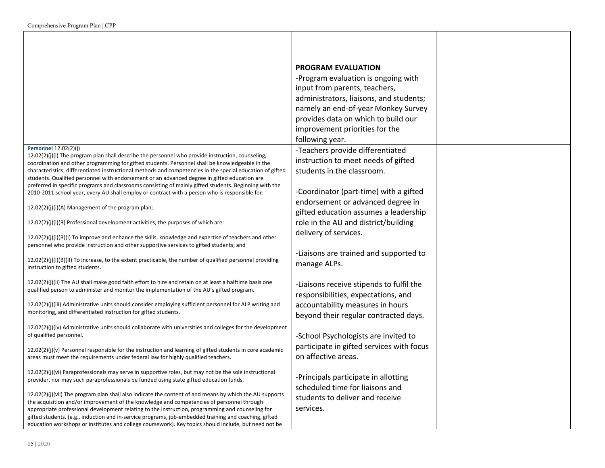|                                                                                                                                                                                                                                                                                                                                                                                                                                                                                                                                                                                                                                                               | <b>PROGRAM EVALUATION</b><br>-Program evaluation is ongoing with<br>input from parents, teachers,<br>administrators, liaisons, and students;<br>namely an end-of-year Monkey Survey<br>provides data on which to build our<br>improvement priorities for the<br>following year. |  |
|---------------------------------------------------------------------------------------------------------------------------------------------------------------------------------------------------------------------------------------------------------------------------------------------------------------------------------------------------------------------------------------------------------------------------------------------------------------------------------------------------------------------------------------------------------------------------------------------------------------------------------------------------------------|---------------------------------------------------------------------------------------------------------------------------------------------------------------------------------------------------------------------------------------------------------------------------------|--|
| <b>Personnel 12.02(2)(j)</b><br>12.02(2)(j)(i) The program plan shall describe the personnel who provide instruction, counseling,<br>coordination and other programming for gifted students. Personnel shall be knowledgeable in the<br>characteristics, differentiated instructional methods and competencies in the special education of gifted<br>students. Qualified personnel with endorsement or an advanced degree in gifted education are<br>preferred in specific programs and classrooms consisting of mainly gifted students. Beginning with the<br>2010-2011 school year, every AU shall employ or contract with a person who is responsible for: | -Teachers provide differentiated<br>instruction to meet needs of gifted<br>students in the classroom.<br>-Coordinator (part-time) with a gifted                                                                                                                                 |  |
| 12.02(2)(j)(i)(A) Management of the program plan;                                                                                                                                                                                                                                                                                                                                                                                                                                                                                                                                                                                                             | endorsement or advanced degree in<br>gifted education assumes a leadership                                                                                                                                                                                                      |  |
| 12.02(2)(j)(i)(B) Professional development activities, the purposes of which are:<br>$12.02(2)(j)(i)(B)(l)$ To improve and enhance the skills, knowledge and expertise of teachers and other<br>personnel who provide instruction and other supportive services to gifted students; and                                                                                                                                                                                                                                                                                                                                                                       | role in the AU and district/building<br>delivery of services.                                                                                                                                                                                                                   |  |
| $12.02(2)(j)(i)(B)(II)$ To increase, to the extent practicable, the number of qualified personnel providing<br>instruction to gifted students.                                                                                                                                                                                                                                                                                                                                                                                                                                                                                                                | -Liaisons are trained and supported to<br>manage ALPs.                                                                                                                                                                                                                          |  |
| $12.02(2)(j)(ii)$ The AU shall make good faith effort to hire and retain on at least a halftime basis one<br>qualified person to administer and monitor the implementation of the AU's gifted program.                                                                                                                                                                                                                                                                                                                                                                                                                                                        | -Liaisons receive stipends to fulfil the<br>responsibilities, expectations, and                                                                                                                                                                                                 |  |
| 12.02(2)(j)(iii) Administrative units should consider employing sufficient personnel for ALP writing and<br>monitoring, and differentiated instruction for gifted students.                                                                                                                                                                                                                                                                                                                                                                                                                                                                                   | accountability measures in hours<br>beyond their regular contracted days.                                                                                                                                                                                                       |  |
| 12.02(2)(j)(iv) Administrative units should collaborate with universities and colleges for the development<br>of qualified personnel.                                                                                                                                                                                                                                                                                                                                                                                                                                                                                                                         | -School Psychologists are invited to<br>participate in gifted services with focus                                                                                                                                                                                               |  |
| $12.02(2)(j)(v)$ Personnel responsible for the instruction and learning of gifted students in core academic<br>areas must meet the requirements under federal law for highly qualified teachers.                                                                                                                                                                                                                                                                                                                                                                                                                                                              | on affective areas.                                                                                                                                                                                                                                                             |  |
| 12.02(2)(j)(vi) Paraprofessionals may serve in supportive roles, but may not be the sole instructional<br>provider, nor may such paraprofessionals be funded using state gifted education funds.                                                                                                                                                                                                                                                                                                                                                                                                                                                              | -Principals participate in allotting<br>scheduled time for liaisons and                                                                                                                                                                                                         |  |
| $12.02(2)(j)(vi)$ The program plan shall also indicate the content of and means by which the AU supports<br>the acquisition and/or improvement of the knowledge and competencies of personnel through<br>appropriate professional development relating to the instruction, programming and counseling for<br>gifted students. (e.g., induction and in-service programs, job-embedded training and coaching, gifted<br>education workshops or institutes and college coursework). Key topics should include, but need not be                                                                                                                                   | students to deliver and receive<br>services.                                                                                                                                                                                                                                    |  |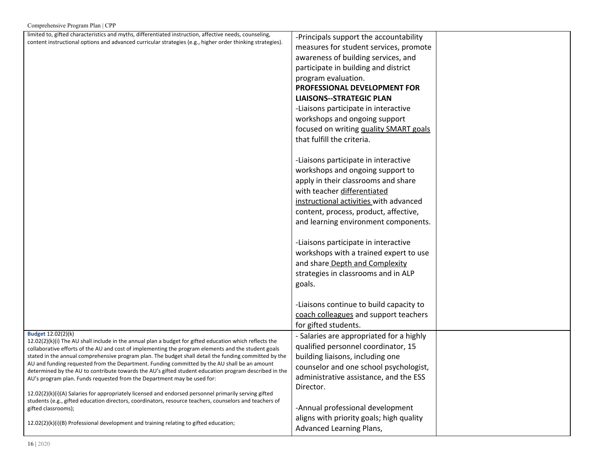| Comprehensive Program Plan   CPP                                                                                                                                                                                 |                                          |  |
|------------------------------------------------------------------------------------------------------------------------------------------------------------------------------------------------------------------|------------------------------------------|--|
| limited to, gifted characteristics and myths, differentiated instruction, affective needs, counseling,                                                                                                           | -Principals support the accountability   |  |
| content instructional options and advanced curricular strategies (e.g., higher order thinking strategies).                                                                                                       | measures for student services, promote   |  |
|                                                                                                                                                                                                                  | awareness of building services, and      |  |
|                                                                                                                                                                                                                  | participate in building and district     |  |
|                                                                                                                                                                                                                  | program evaluation.                      |  |
|                                                                                                                                                                                                                  | PROFESSIONAL DEVELOPMENT FOR             |  |
|                                                                                                                                                                                                                  | <b>LIAISONS--STRATEGIC PLAN</b>          |  |
|                                                                                                                                                                                                                  |                                          |  |
|                                                                                                                                                                                                                  | -Liaisons participate in interactive     |  |
|                                                                                                                                                                                                                  | workshops and ongoing support            |  |
|                                                                                                                                                                                                                  | focused on writing quality SMART goals   |  |
|                                                                                                                                                                                                                  | that fulfill the criteria.               |  |
|                                                                                                                                                                                                                  |                                          |  |
|                                                                                                                                                                                                                  | -Liaisons participate in interactive     |  |
|                                                                                                                                                                                                                  | workshops and ongoing support to         |  |
|                                                                                                                                                                                                                  | apply in their classrooms and share      |  |
|                                                                                                                                                                                                                  | with teacher differentiated              |  |
|                                                                                                                                                                                                                  | instructional activities with advanced   |  |
|                                                                                                                                                                                                                  | content, process, product, affective,    |  |
|                                                                                                                                                                                                                  | and learning environment components.     |  |
|                                                                                                                                                                                                                  |                                          |  |
|                                                                                                                                                                                                                  | -Liaisons participate in interactive     |  |
|                                                                                                                                                                                                                  | workshops with a trained expert to use   |  |
|                                                                                                                                                                                                                  | and share Depth and Complexity           |  |
|                                                                                                                                                                                                                  | strategies in classrooms and in ALP      |  |
|                                                                                                                                                                                                                  |                                          |  |
|                                                                                                                                                                                                                  | goals.                                   |  |
|                                                                                                                                                                                                                  |                                          |  |
|                                                                                                                                                                                                                  | -Liaisons continue to build capacity to  |  |
|                                                                                                                                                                                                                  | coach colleagues and support teachers    |  |
| Budget 12.02(2)(k)                                                                                                                                                                                               | for gifted students.                     |  |
| $12.02(2)(k)(i)$ The AU shall include in the annual plan a budget for gifted education which reflects the                                                                                                        | - Salaries are appropriated for a highly |  |
| collaborative efforts of the AU and cost of implementing the program elements and the student goals                                                                                                              | qualified personnel coordinator, 15      |  |
| stated in the annual comprehensive program plan. The budget shall detail the funding committed by the<br>AU and funding requested from the Department. Funding committed by the AU shall be an amount            | building liaisons, including one         |  |
| determined by the AU to contribute towards the AU's gifted student education program described in the                                                                                                            | counselor and one school psychologist,   |  |
| AU's program plan. Funds requested from the Department may be used for:                                                                                                                                          | administrative assistance, and the ESS   |  |
|                                                                                                                                                                                                                  | Director.                                |  |
| 12.02(2)(k)(i)(A) Salaries for appropriately licensed and endorsed personnel primarily serving gifted<br>students (e.g., gifted education directors, coordinators, resource teachers, counselors and teachers of |                                          |  |
| gifted classrooms);                                                                                                                                                                                              | -Annual professional development         |  |
|                                                                                                                                                                                                                  | aligns with priority goals; high quality |  |
| $12.02(2)(k)(i)(B)$ Professional development and training relating to gifted education;                                                                                                                          | Advanced Learning Plans,                 |  |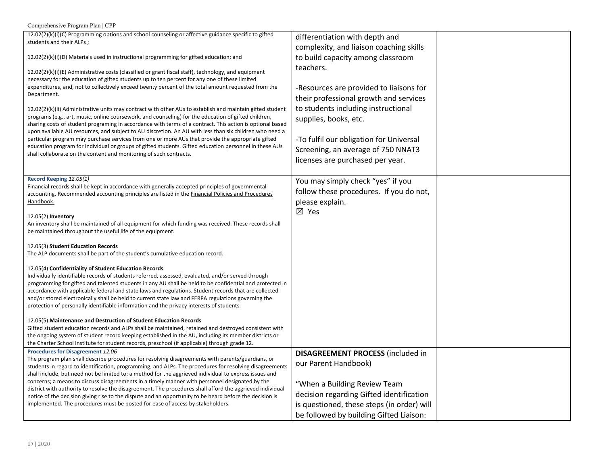| Comprehensive Program Plan   CPP                                                                                                                                                                                                                                                                                                                                                                                                                                                                                                                                                                                                                                                                                                                                                                                                                                                                                                                                                                                                                                |                                                                                                                                                                                                                                                                                     |  |
|-----------------------------------------------------------------------------------------------------------------------------------------------------------------------------------------------------------------------------------------------------------------------------------------------------------------------------------------------------------------------------------------------------------------------------------------------------------------------------------------------------------------------------------------------------------------------------------------------------------------------------------------------------------------------------------------------------------------------------------------------------------------------------------------------------------------------------------------------------------------------------------------------------------------------------------------------------------------------------------------------------------------------------------------------------------------|-------------------------------------------------------------------------------------------------------------------------------------------------------------------------------------------------------------------------------------------------------------------------------------|--|
| 12.02(2)(k)(i)(C) Programming options and school counseling or affective guidance specific to gifted<br>students and their ALPs;                                                                                                                                                                                                                                                                                                                                                                                                                                                                                                                                                                                                                                                                                                                                                                                                                                                                                                                                | differentiation with depth and<br>complexity, and liaison coaching skills                                                                                                                                                                                                           |  |
| 12.02(2)(k)(i)(D) Materials used in instructional programming for gifted education; and                                                                                                                                                                                                                                                                                                                                                                                                                                                                                                                                                                                                                                                                                                                                                                                                                                                                                                                                                                         | to build capacity among classroom                                                                                                                                                                                                                                                   |  |
| $12.02(2)(k)(i)(E)$ Administrative costs (classified or grant fiscal staff), technology, and equipment<br>necessary for the education of gifted students up to ten percent for any one of these limited<br>expenditures, and, not to collectively exceed twenty percent of the total amount requested from the<br>Department.<br>12.02(2)(k)(ii) Administrative units may contract with other AUs to establish and maintain gifted student<br>programs (e.g., art, music, online coursework, and counseling) for the education of gifted children,<br>sharing costs of student programing in accordance with terms of a contract. This action is optional based<br>upon available AU resources, and subject to AU discretion. An AU with less than six children who need a<br>particular program may purchase services from one or more AUs that provide the appropriate gifted<br>education program for individual or groups of gifted students. Gifted education personnel in these AUs<br>shall collaborate on the content and monitoring of such contracts. | teachers.<br>-Resources are provided to liaisons for<br>their professional growth and services<br>to students including instructional<br>supplies, books, etc.<br>-To fulfil our obligation for Universal<br>Screening, an average of 750 NNAT3<br>licenses are purchased per year. |  |
| Record Keeping 12.05(1)<br>Financial records shall be kept in accordance with generally accepted principles of governmental<br>accounting. Recommended accounting principles are listed in the <b>Financial Policies and Procedures</b><br>Handbook.<br>12.05(2) Inventory<br>An inventory shall be maintained of all equipment for which funding was received. These records shall<br>be maintained throughout the useful life of the equipment.                                                                                                                                                                                                                                                                                                                                                                                                                                                                                                                                                                                                               | You may simply check "yes" if you<br>follow these procedures. If you do not,<br>please explain.<br>$\boxtimes$ Yes                                                                                                                                                                  |  |
| 12.05(3) Student Education Records<br>The ALP documents shall be part of the student's cumulative education record.                                                                                                                                                                                                                                                                                                                                                                                                                                                                                                                                                                                                                                                                                                                                                                                                                                                                                                                                             |                                                                                                                                                                                                                                                                                     |  |
| 12.05(4) Confidentiality of Student Education Records<br>Individually identifiable records of students referred, assessed, evaluated, and/or served through<br>programming for gifted and talented students in any AU shall be held to be confidential and protected in<br>accordance with applicable federal and state laws and regulations. Student records that are collected<br>and/or stored electronically shall be held to current state law and FERPA regulations governing the<br>protection of personally identifiable information and the privacy interests of students.<br>12.05(5) Maintenance and Destruction of Student Education Records<br>Gifted student education records and ALPs shall be maintained, retained and destroyed consistent with                                                                                                                                                                                                                                                                                               |                                                                                                                                                                                                                                                                                     |  |
| the ongoing system of student record keeping established in the AU, including its member districts or<br>the Charter School Institute for student records, preschool (if applicable) through grade 12.                                                                                                                                                                                                                                                                                                                                                                                                                                                                                                                                                                                                                                                                                                                                                                                                                                                          |                                                                                                                                                                                                                                                                                     |  |
| Procedures for Disagreement 12.06<br>The program plan shall describe procedures for resolving disagreements with parents/guardians, or<br>students in regard to identification, programming, and ALPs. The procedures for resolving disagreements<br>shall include, but need not be limited to: a method for the aggrieved individual to express issues and<br>concerns; a means to discuss disagreements in a timely manner with personnel designated by the<br>district with authority to resolve the disagreement. The procedures shall afford the aggrieved individual<br>notice of the decision giving rise to the dispute and an opportunity to be heard before the decision is<br>implemented. The procedures must be posted for ease of access by stakeholders.                                                                                                                                                                                                                                                                                         | <b>DISAGREEMENT PROCESS (included in</b><br>our Parent Handbook)<br>"When a Building Review Team<br>decision regarding Gifted identification<br>is questioned, these steps (in order) will<br>be followed by building Gifted Liaison:                                               |  |